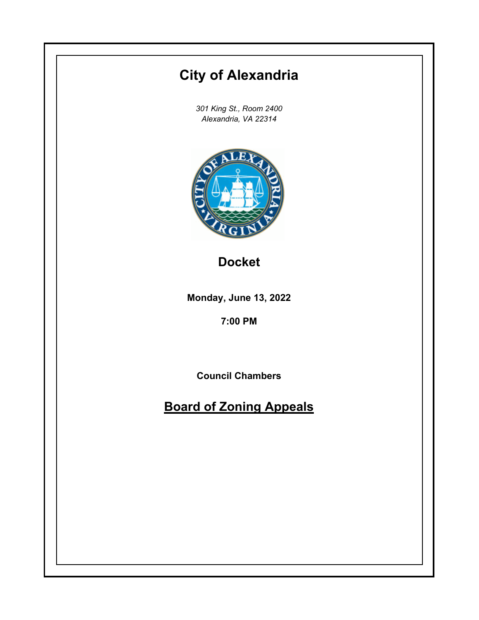